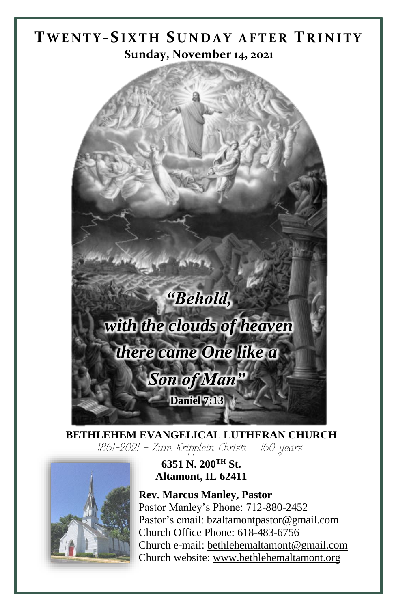# **TW E N T Y -SI X T H S U N D A Y A F T E R T R I N I T Y Sunday, November 14, 2021**



**BETHLEHEM EVANGELICAL LUTHERAN CHURCH** 1861-2021 - Zum Kripplein Christi - 160 years



**6351 N. 200TH St. Altamont, IL 62411**

**Rev. Marcus Manley, Pastor** Pastor Manley's Phone: 712-880-2452 Pastor's email[: bzaltamontpastor@gmail.com](mailto:bzaltamontpastor@gmail.com) Church Office Phone: 618-483-6756 Church e-mail: [bethlehemaltamont@gmail.com](mailto:bethlehemaltamont@gmail.com) Church website: [www.bethlehemaltamont.org](http://www.bethlehemaltamont.org/)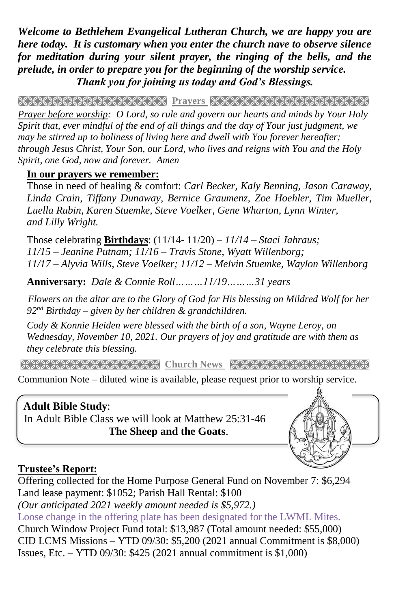*Welcome to Bethlehem Evangelical Lutheran Church, we are happy you are here today. It is customary when you enter the church nave to observe silence for meditation during your silent prayer, the ringing of the bells, and the prelude, in order to prepare you for the beginning of the worship service. Thank you for joining us today and God's Blessings.*

**PRAYARANA NASAR PRINT KANANA NASARANA NASARA** 

*Prayer before worship: O Lord, so rule and govern our hearts and minds by Your Holy Spirit that, ever mindful of the end of all things and the day of Your just judgment, we may be stirred up to holiness of living here and dwell with You forever hereafter; through Jesus Christ, Your Son, our Lord, who lives and reigns with You and the Holy Spirit, one God, now and forever. Amen*

#### **In our prayers we remember:**

Those in need of healing & comfort: *Carl Becker, Kaly Benning, Jason Caraway, Linda Crain, Tiffany Dunaway, Bernice Graumenz, Zoe Hoehler, Tim Mueller, Luella Rubin, Karen Stuemke, Steve Voelker, Gene Wharton, Lynn Winter, and Lilly Wright.*

Those celebrating **Birthdays**: (11/14- 11/20) *– 11/14 – Staci Jahraus; 11/15 – Jeanine Putnam; 11/16 – Travis Stone, Wyatt Willenborg; 11/17 – Alyvia Wills, Steve Voelker; 11/12 – Melvin Stuemke, Waylon Willenborg*

**Anniversary:** *Dale & Connie Roll………11/19………31 years*

 *Flowers on the altar are to the Glory of God for His blessing on Mildred Wolf for her 92nd Birthday – given by her children & grandchildren.*

*Cody & Konnie Heiden were blessed with the birth of a son, Wayne Leroy, on Wednesday, November 10, 2021. Our prayers of joy and gratitude are with them as they celebrate this blessing.*

**Church News Stranger News Representation And March 1999** 

Communion Note – diluted wine is available, please request prior to worship service.

## **Adult Bible Study**:

 In Adult Bible Class we will look at Matthew 25:31-46  **The Sheep and the Goats**.



## **Trustee's Report:**

Offering collected for the Home Purpose General Fund on November 7: \$6,294 Land lease payment: \$1052; Parish Hall Rental: \$100 *(Our anticipated 2021 weekly amount needed is \$5,972.)*  Loose change in the offering plate has been designated for the LWML Mites. Church Window Project Fund total: \$13,987 (Total amount needed: \$55,000) CID LCMS Missions – YTD 09/30: \$5,200 (2021 annual Commitment is \$8,000)

Issues, Etc. – YTD 09/30: \$425 (2021 annual commitment is \$1,000)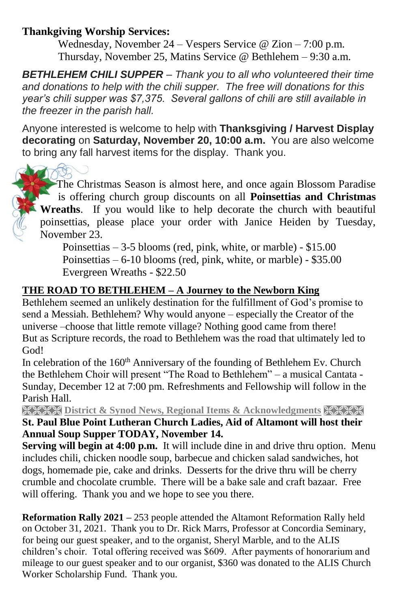### **Thankgiving Worship Services:**

Wednesday, November 24 – Vespers Service @ Zion – 7:00 p.m. Thursday, November 25, Matins Service @ Bethlehem – 9:30 a.m.

*BETHLEHEM CHILI SUPPER – Thank you to all who volunteered their time and donations to help with the chili supper. The free will donations for this year's chili supper was \$7,375. Several gallons of chili are still available in the freezer in the parish hall.* 

Anyone interested is welcome to help with **Thanksgiving / Harvest Display decorating** on **Saturday, November 20, 10:00 a.m.** You are also welcome to bring any fall harvest items for the display. Thank you.

 The Christmas Season is almost here, and once again Blossom Paradise is offering church group discounts on all **Poinsettias and Christmas Wreaths**. If you would like to help decorate the church with beautiful poinsettias, please place your order with Janice Heiden by Tuesday, November 23.

Poinsettias – 3-5 blooms (red, pink, white, or marble) - \$15.00 Poinsettias – 6-10 blooms (red, pink, white, or marble) - \$35.00 Evergreen Wreaths - \$22.50

#### **THE ROAD TO BETHLEHEM – A Journey to the Newborn King**

Bethlehem seemed an unlikely destination for the fulfillment of God's promise to send a Messiah. Bethlehem? Why would anyone – especially the Creator of the universe –choose that little remote village? Nothing good came from there! But as Scripture records, the road to Bethlehem was the road that ultimately led to God!

In celebration of the  $160<sup>th</sup>$  Anniversary of the founding of Bethlehem Ev. Church the Bethlehem Choir will present "The Road to Bethlehem" – a musical Cantata - Sunday, December 12 at 7:00 pm. Refreshments and Fellowship will follow in the Parish Hall.

**EXEXT District & Synod News, Regional Items & Acknowledgments XXXXX St. Paul Blue Point Lutheran Church Ladies, Aid of Altamont will host their Annual Soup Supper TODAY, November 14.** 

**Serving will begin at 4:00 p.m.** It will include dine in and drive thru option. Menu includes chili, chicken noodle soup, barbecue and chicken salad sandwiches, hot dogs, homemade pie, cake and drinks. Desserts for the drive thru will be cherry crumble and chocolate crumble. There will be a bake sale and craft bazaar. Free will offering. Thank you and we hope to see you there.

**Reformation Rally 2021 –** 253 people attended the Altamont Reformation Rally held on October 31, 2021. Thank you to Dr. Rick Marrs, Professor at Concordia Seminary, for being our guest speaker, and to the organist, Sheryl Marble, and to the ALIS children's choir. Total offering received was \$609. After payments of honorarium and mileage to our guest speaker and to our organist, \$360 was donated to the ALIS Church Worker Scholarship Fund. Thank you.